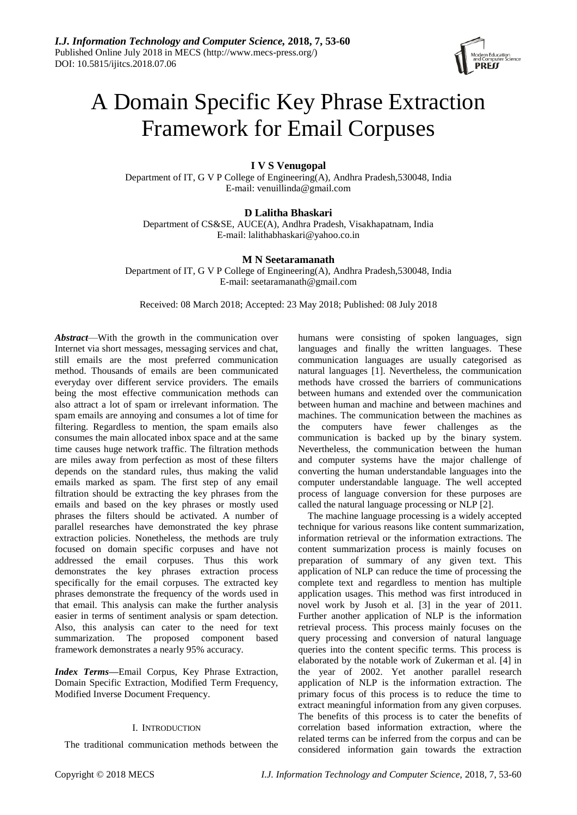

# A Domain Specific Key Phrase Extraction Framework for Email Corpuses

# **I V S Venugopal**

Department of IT, G V P College of Engineering(A), Andhra Pradesh,530048, India E-mail: venuillinda@gmail.com

# **D Lalitha Bhaskari**

Department of CS&SE, AUCE(A), Andhra Pradesh, Visakhapatnam, India E-mail: lalithabhaskari@yahoo.co.in

# **M N Seetaramanath**

Department of IT, G V P College of Engineering(A), Andhra Pradesh,530048, India E-mail: seetaramanath@gmail.com

Received: 08 March 2018; Accepted: 23 May 2018; Published: 08 July 2018

*Abstract*—With the growth in the communication over Internet via short messages, messaging services and chat, still emails are the most preferred communication method. Thousands of emails are been communicated everyday over different service providers. The emails being the most effective communication methods can also attract a lot of spam or irrelevant information. The spam emails are annoying and consumes a lot of time for filtering. Regardless to mention, the spam emails also consumes the main allocated inbox space and at the same time causes huge network traffic. The filtration methods are miles away from perfection as most of these filters depends on the standard rules, thus making the valid emails marked as spam. The first step of any email filtration should be extracting the key phrases from the emails and based on the key phrases or mostly used phrases the filters should be activated. A number of parallel researches have demonstrated the key phrase extraction policies. Nonetheless, the methods are truly focused on domain specific corpuses and have not addressed the email corpuses. Thus this work demonstrates the key phrases extraction process specifically for the email corpuses. The extracted key phrases demonstrate the frequency of the words used in that email. This analysis can make the further analysis easier in terms of sentiment analysis or spam detection. Also, this analysis can cater to the need for text summarization. The proposed component based framework demonstrates a nearly 95% accuracy.

*Index Terms***—**Email Corpus, Key Phrase Extraction, Domain Specific Extraction, Modified Term Frequency, Modified Inverse Document Frequency.

# I. INTRODUCTION

The traditional communication methods between the

humans were consisting of spoken languages, sign languages and finally the written languages. These communication languages are usually categorised as natural languages [1]. Nevertheless, the communication methods have crossed the barriers of communications between humans and extended over the communication between human and machine and between machines and machines. The communication between the machines as the computers have fewer challenges as the communication is backed up by the binary system. Nevertheless, the communication between the human and computer systems have the major challenge of converting the human understandable languages into the computer understandable language. The well accepted process of language conversion for these purposes are called the natural language processing or NLP [2].

The machine language processing is a widely accepted technique for various reasons like content summarization, information retrieval or the information extractions. The content summarization process is mainly focuses on preparation of summary of any given text. This application of NLP can reduce the time of processing the complete text and regardless to mention has multiple application usages. This method was first introduced in novel work by Jusoh et al. [3] in the year of 2011. Further another application of NLP is the information retrieval process. This process mainly focuses on the query processing and conversion of natural language queries into the content specific terms. This process is elaborated by the notable work of Zukerman et al. [4] in the year of 2002. Yet another parallel research application of NLP is the information extraction. The primary focus of this process is to reduce the time to extract meaningful information from any given corpuses. The benefits of this process is to cater the benefits of correlation based information extraction, where the related terms can be inferred from the corpus and can be considered information gain towards the extraction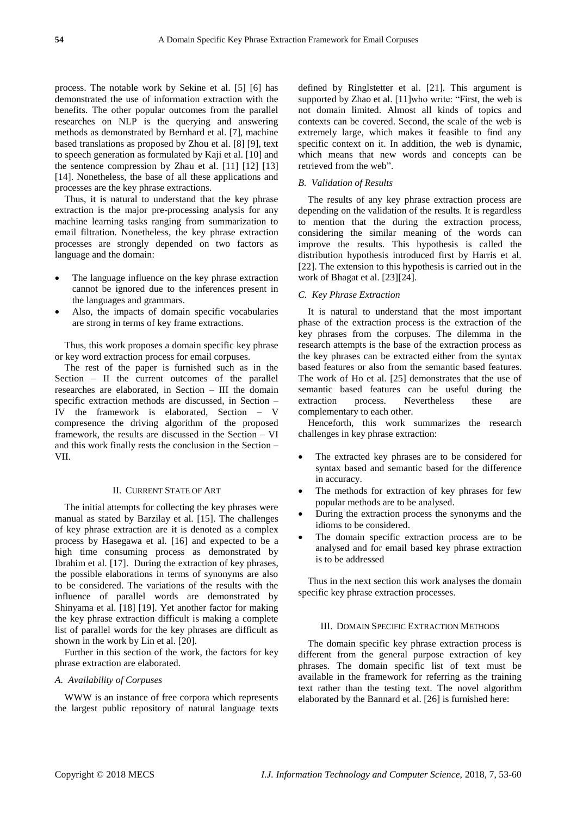process. The notable work by Sekine et al. [5] [6] has demonstrated the use of information extraction with the benefits. The other popular outcomes from the parallel researches on NLP is the querying and answering methods as demonstrated by Bernhard et al. [7], machine based translations as proposed by Zhou et al. [8] [9], text to speech generation as formulated by Kaji et al. [10] and the sentence compression by Zhau et al. [11] [12] [13] [14]. Nonetheless, the base of all these applications and processes are the key phrase extractions.

Thus, it is natural to understand that the key phrase extraction is the major pre-processing analysis for any machine learning tasks ranging from summarization to email filtration. Nonetheless, the key phrase extraction processes are strongly depended on two factors as language and the domain:

- The language influence on the key phrase extraction cannot be ignored due to the inferences present in the languages and grammars.
- Also, the impacts of domain specific vocabularies are strong in terms of key frame extractions.

Thus, this work proposes a domain specific key phrase or key word extraction process for email corpuses.

The rest of the paper is furnished such as in the Section – II the current outcomes of the parallel researches are elaborated, in Section – III the domain specific extraction methods are discussed, in Section – IV the framework is elaborated, Section – V compresence the driving algorithm of the proposed framework, the results are discussed in the Section – VI and this work finally rests the conclusion in the Section – VII.

## II. CURRENT STATE OF ART

The initial attempts for collecting the key phrases were manual as stated by Barzilay et al. [15]. The challenges of key phrase extraction are it is denoted as a complex process by Hasegawa et al. [16] and expected to be a high time consuming process as demonstrated by Ibrahim et al. [17]. During the extraction of key phrases, the possible elaborations in terms of synonyms are also to be considered. The variations of the results with the influence of parallel words are demonstrated by Shinyama et al. [18] [19]. Yet another factor for making the key phrase extraction difficult is making a complete list of parallel words for the key phrases are difficult as shown in the work by Lin et al. [20].

Further in this section of the work, the factors for key phrase extraction are elaborated.

#### *A. Availability of Corpuses*

WWW is an instance of free corpora which represents the largest public repository of natural language texts defined by Ringlstetter et al. [21]. This argument is supported by Zhao et al. [11]who write: "First, the web is not domain limited. Almost all kinds of topics and contexts can be covered. Second, the scale of the web is extremely large, which makes it feasible to find any specific context on it. In addition, the web is dynamic, which means that new words and concepts can be retrieved from the web".

## *B. Validation of Results*

The results of any key phrase extraction process are depending on the validation of the results. It is regardless to mention that the during the extraction process, considering the similar meaning of the words can improve the results. This hypothesis is called the distribution hypothesis introduced first by Harris et al. [22]. The extension to this hypothesis is carried out in the work of Bhagat et al. [23][24].

# *C. Key Phrase Extraction*

It is natural to understand that the most important phase of the extraction process is the extraction of the key phrases from the corpuses. The dilemma in the research attempts is the base of the extraction process as the key phrases can be extracted either from the syntax based features or also from the semantic based features. The work of Ho et al. [25] demonstrates that the use of semantic based features can be useful during the extraction process. Nevertheless these are complementary to each other.

Henceforth, this work summarizes the research challenges in key phrase extraction:

- The extracted key phrases are to be considered for syntax based and semantic based for the difference in accuracy.
- The methods for extraction of key phrases for few popular methods are to be analysed.
- During the extraction process the synonyms and the idioms to be considered.
- The domain specific extraction process are to be analysed and for email based key phrase extraction is to be addressed

Thus in the next section this work analyses the domain specific key phrase extraction processes.

# III. DOMAIN SPECIFIC EXTRACTION METHODS

The domain specific key phrase extraction process is different from the general purpose extraction of key phrases. The domain specific list of text must be available in the framework for referring as the training text rather than the testing text. The novel algorithm elaborated by the Bannard et al. [26] is furnished here: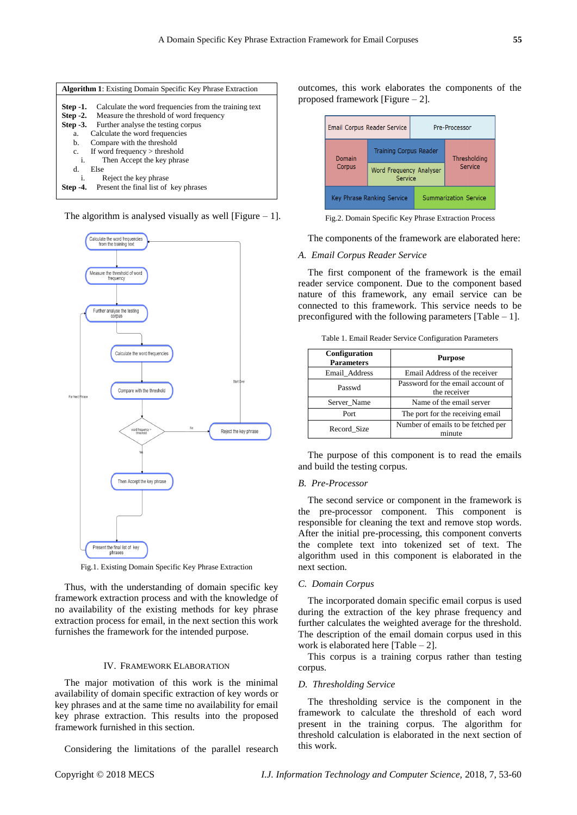

The algorithm is analysed visually as well [Figure  $-1$ ].



Fig.1. Existing Domain Specific Key Phrase Extraction

Thus, with the understanding of domain specific key framework extraction process and with the knowledge of no availability of the existing methods for key phrase extraction process for email, in the next section this work furnishes the framework for the intended purpose.

## IV. FRAMEWORK ELABORATION

The major motivation of this work is the minimal availability of domain specific extraction of key words or key phrases and at the same time no availability for email key phrase extraction. This results into the proposed framework furnished in this section.

Considering the limitations of the parallel research

outcomes, this work elaborates the components of the proposed framework [Figure – 2].



Fig.2. Domain Specific Key Phrase Extraction Process

The components of the framework are elaborated here:

## *A. Email Corpus Reader Service*

The first component of the framework is the email reader service component. Due to the component based nature of this framework, any email service can be connected to this framework. This service needs to be preconfigured with the following parameters  $[Table - 1]$ .

|  |  |  |  | Table 1. Email Reader Service Configuration Parameters |  |
|--|--|--|--|--------------------------------------------------------|--|
|--|--|--|--|--------------------------------------------------------|--|

| Configuration<br><b>Parameters</b> | <b>Purpose</b>                                    |
|------------------------------------|---------------------------------------------------|
| Email Address                      | Email Address of the receiver                     |
| Passwd                             | Password for the email account of<br>the receiver |
| Server Name                        | Name of the email server                          |
| Port                               | The port for the receiving email                  |
| Record Size                        | Number of emails to be fetched per                |

The purpose of this component is to read the emails and build the testing corpus.

### *B. Pre-Processor*

The second service or component in the framework is the pre-processor component. This component is responsible for cleaning the text and remove stop words. After the initial pre-processing, this component converts the complete text into tokenized set of text. The algorithm used in this component is elaborated in the next section.

#### *C. Domain Corpus*

The incorporated domain specific email corpus is used during the extraction of the key phrase frequency and further calculates the weighted average for the threshold. The description of the email domain corpus used in this work is elaborated here [Table – 2].

This corpus is a training corpus rather than testing corpus.

# *D. Thresholding Service*

The thresholding service is the component in the framework to calculate the threshold of each word present in the training corpus. The algorithm for threshold calculation is elaborated in the next section of this work.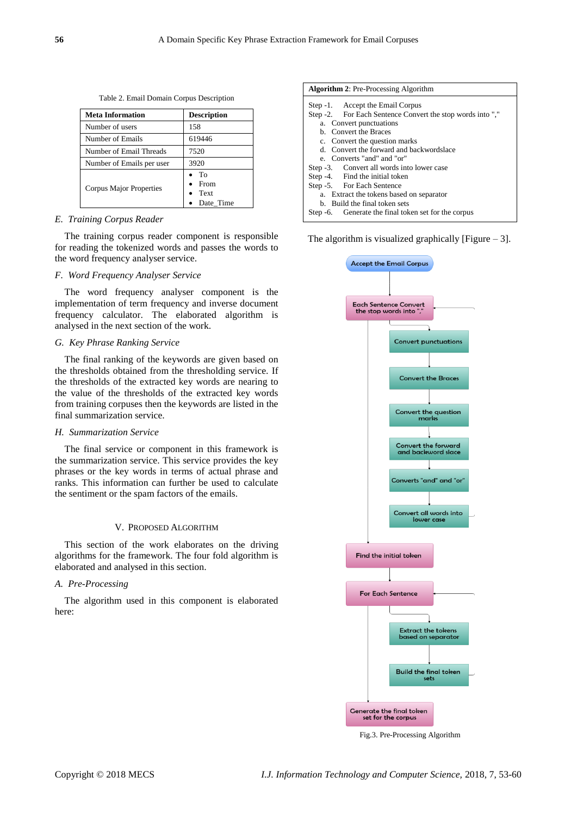Table 2. Email Domain Corpus Description

| Meta Information          | <b>Description</b>              |  |
|---------------------------|---------------------------------|--|
| Number of users           | 158                             |  |
| Number of Emails          | 619446                          |  |
| Number of Email Threads   | 7520                            |  |
| Number of Emails per user | 3920                            |  |
| Corpus Major Properties   | To<br>From<br>Text<br>Date Time |  |

## *E. Training Corpus Reader*

The training corpus reader component is responsible for reading the tokenized words and passes the words to the word frequency analyser service.

## *F. Word Frequency Analyser Service*

The word frequency analyser component is the implementation of term frequency and inverse document frequency calculator. The elaborated algorithm is analysed in the next section of the work.

# *G. Key Phrase Ranking Service*

The final ranking of the keywords are given based on the thresholds obtained from the thresholding service. If the thresholds of the extracted key words are nearing to the value of the thresholds of the extracted key words from training corpuses then the keywords are listed in the final summarization service.

## *H. Summarization Service*

The final service or component in this framework is the summarization service. This service provides the key phrases or the key words in terms of actual phrase and ranks. This information can further be used to calculate the sentiment or the spam factors of the emails.

#### V. PROPOSED ALGORITHM

This section of the work elaborates on the driving algorithms for the framework. The four fold algorithm is elaborated and analysed in this section.

# *A. Pre-Processing*

The algorithm used in this component is elaborated here:

| <b>Algorithm 2: Pre-Processing Algorithm</b>               |  |  |  |  |
|------------------------------------------------------------|--|--|--|--|
| Step -1. Accept the Email Corpus                           |  |  |  |  |
| Step -2. For Each Sentence Convert the stop words into "," |  |  |  |  |
| a. Convert punctuations                                    |  |  |  |  |
| b. Convert the Braces                                      |  |  |  |  |
| c. Convert the question marks                              |  |  |  |  |
| d. Convert the forward and backwordslace                   |  |  |  |  |
| e. Converts "and" and "or"                                 |  |  |  |  |
| Step -3. Convert all words into lower case                 |  |  |  |  |
| Step -4. Find the initial token                            |  |  |  |  |
| Step -5. For Each Sentence                                 |  |  |  |  |
| a. Extract the tokens based on separator                   |  |  |  |  |
| b. Build the final token sets                              |  |  |  |  |
| Step -6. Generate the final token set for the corpus       |  |  |  |  |

The algorithm is visualized graphically [Figure  $-3$ ].



Fig.3. Pre-Processing Algorithm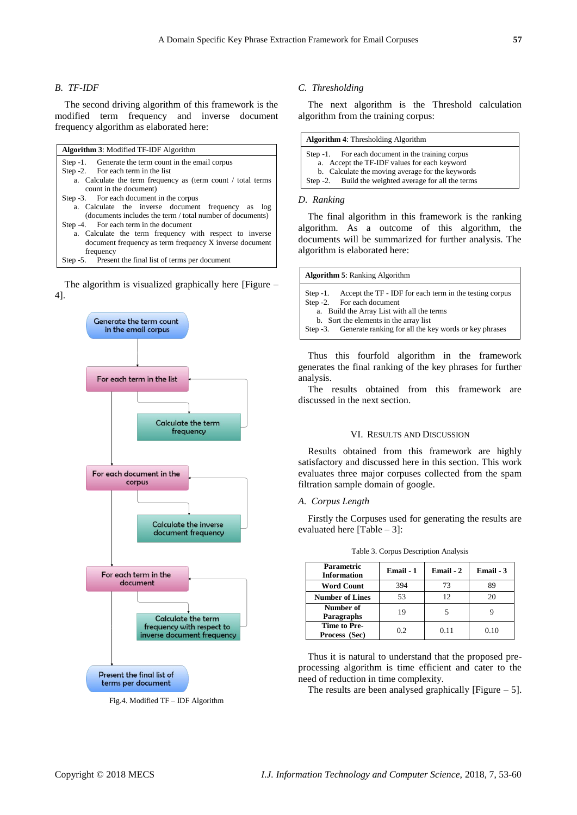# *B. TF-IDF*

The second driving algorithm of this framework is the modified term frequency and inverse document frequency algorithm as elaborated here:

| <b>Algorithm 3:</b> Modified TF-IDF Algorithm                |  |  |
|--------------------------------------------------------------|--|--|
| Step -1. Generate the term count in the email corpus         |  |  |
| Step -2. For each term in the list                           |  |  |
| a. Calculate the term frequency as (term count / total terms |  |  |
| count in the document)                                       |  |  |
| Step -3. For each document in the corpus                     |  |  |
| a. Calculate the inverse document frequency as log           |  |  |
| (documents includes the term / total number of documents)    |  |  |
| Step -4. For each term in the document                       |  |  |
| a. Calculate the term frequency with respect to inverse      |  |  |
| document frequency as term frequency X inverse document      |  |  |
| frequency                                                    |  |  |

Step -5. Present the final list of terms per document

The algorithm is visualized graphically here [Figure – 4].



Fig.4. Modified TF – IDF Algorithm

## *C. Thresholding*

The next algorithm is the Threshold calculation algorithm from the training corpus:

| <b>Algorithm 4:</b> Thresholding Algorithm            |  |  |
|-------------------------------------------------------|--|--|
| Step -1. For each document in the training corpus     |  |  |
| a. Accept the TF-IDF values for each keyword          |  |  |
| b. Calculate the moving average for the keywords      |  |  |
| Step -2. Build the weighted average for all the terms |  |  |

#### *D. Ranking*

The final algorithm in this framework is the ranking algorithm. As a outcome of this algorithm, the documents will be summarized for further analysis. The algorithm is elaborated here:

| <b>Algorithm 5: Ranking Algorithm</b>                                                          |  |  |  |
|------------------------------------------------------------------------------------------------|--|--|--|
| Step -1. Accept the TF - IDF for each term in the testing corpus<br>Step -2. For each document |  |  |  |
| a. Build the Array List with all the terms<br>b. Sort the elements in the array list           |  |  |  |
| Step -3. Generate ranking for all the key words or key phrases                                 |  |  |  |

Thus this fourfold algorithm in the framework generates the final ranking of the key phrases for further analysis.

The results obtained from this framework are discussed in the next section.

#### VI. RESULTS AND DISCUSSION

Results obtained from this framework are highly satisfactory and discussed here in this section. This work evaluates three major corpuses collected from the spam filtration sample domain of google.

## *A. Corpus Length*

Firstly the Corpuses used for generating the results are evaluated here [Table – 3]:

| <b>Parametric</b><br><b>Information</b> | Email - 1 | Email - 2 | Email - 3 |
|-----------------------------------------|-----------|-----------|-----------|
| <b>Word Count</b>                       | 394       | 73        | 89        |
| <b>Number of Lines</b>                  | 53        | 12        | 20        |
| Number of<br>Paragraphs                 | 19        |           |           |
| Time to Pre-<br>Process (Sec)           | 0.2       | 0.11      | 0.10      |

Table 3. Corpus Description Analysis

Thus it is natural to understand that the proposed preprocessing algorithm is time efficient and cater to the need of reduction in time complexity.

The results are been analysed graphically [Figure  $-5$ ].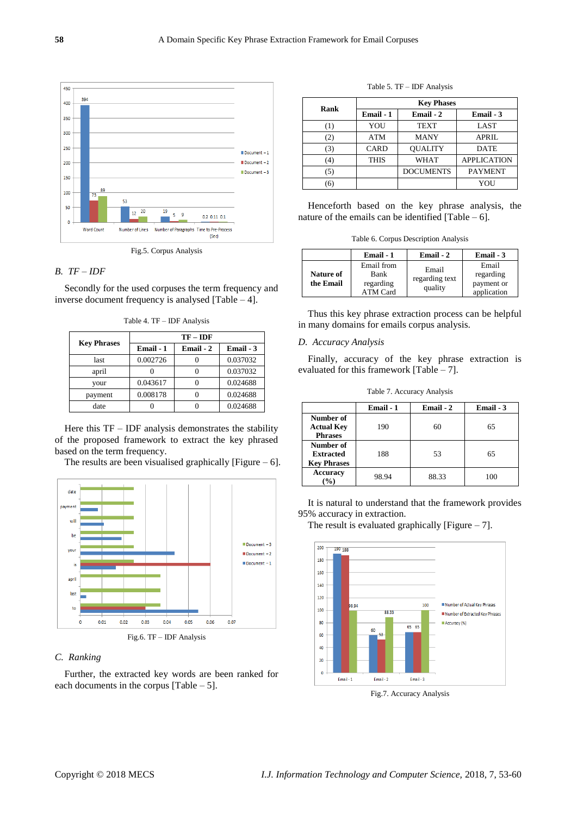

Fig.5. Corpus Analysis

# *B. TF – IDF*

Secondly for the used corpuses the term frequency and inverse document frequency is analysed [Table – 4].

Table 4. TF – IDF Analysis

|                    | $TF - IDF$ |           |           |  |
|--------------------|------------|-----------|-----------|--|
| <b>Key Phrases</b> | Email - 1  | Email - 2 | Email - 3 |  |
| last               | 0.002726   |           | 0.037032  |  |
| april              |            |           | 0.037032  |  |
| your               | 0.043617   |           | 0.024688  |  |
| payment            | 0.008178   |           | 0.024688  |  |
| date               |            |           | 0.024688  |  |

Here this  $TF - IDF$  analysis demonstrates the stability of the proposed framework to extract the key phrased based on the term frequency.

The results are been visualised graphically [Figure  $-6$ ].



# *C. Ranking*

Further, the extracted key words are been ranked for each documents in the corpus [Table  $-5$ ].

| Rank | <b>Key Phases</b> |                  |                    |  |
|------|-------------------|------------------|--------------------|--|
|      | Email - 1         | Email - 2        | Email - 3          |  |
| (1)  | YOU               | <b>TEXT</b>      | <b>LAST</b>        |  |
| (2)  | <b>ATM</b>        | MANY             | <b>APRIL</b>       |  |
| (3)  | CARD              | <b>OUALITY</b>   | <b>DATE</b>        |  |
| (4)  | <b>THIS</b>       | <b>WHAT</b>      | <b>APPLICATION</b> |  |
| (5)  |                   | <b>DOCUMENTS</b> | <b>PAYMENT</b>     |  |
| (6)  |                   |                  | YOU                |  |

Table 5. TF – IDF Analysis

Henceforth based on the key phrase analysis, the nature of the emails can be identified [Table  $- 6$ ].

Table 6. Corpus Description Analysis

|                               | Email - 1                                          | Email - 2                          | Email - 3                                       |
|-------------------------------|----------------------------------------------------|------------------------------------|-------------------------------------------------|
| <b>Nature of</b><br>the Email | Email from<br>Bank<br>regarding<br><b>ATM Card</b> | Email<br>regarding text<br>quality | Email<br>regarding<br>payment or<br>application |

Thus this key phrase extraction process can be helpful in many domains for emails corpus analysis.

### *D. Accuracy Analysis*

Finally, accuracy of the key phrase extraction is evaluated for this framework [Table – 7].

Table 7. Accuracy Analysis

|                                                  | Email - 1 | Email - 2 | Email - 3 |
|--------------------------------------------------|-----------|-----------|-----------|
| Number of<br><b>Actual Key</b><br><b>Phrases</b> | 190       | 60        | 65        |
| Number of<br><b>Extracted</b>                    | 188       | 53        | 65        |
| <b>Key Phrases</b><br><b>Accuracy</b><br>$\%$    | 98.94     | 88.33     | 100       |

It is natural to understand that the framework provides 95% accuracy in extraction.

The result is evaluated graphically [Figure  $-7$ ].



Fig.7. Accuracy Analysis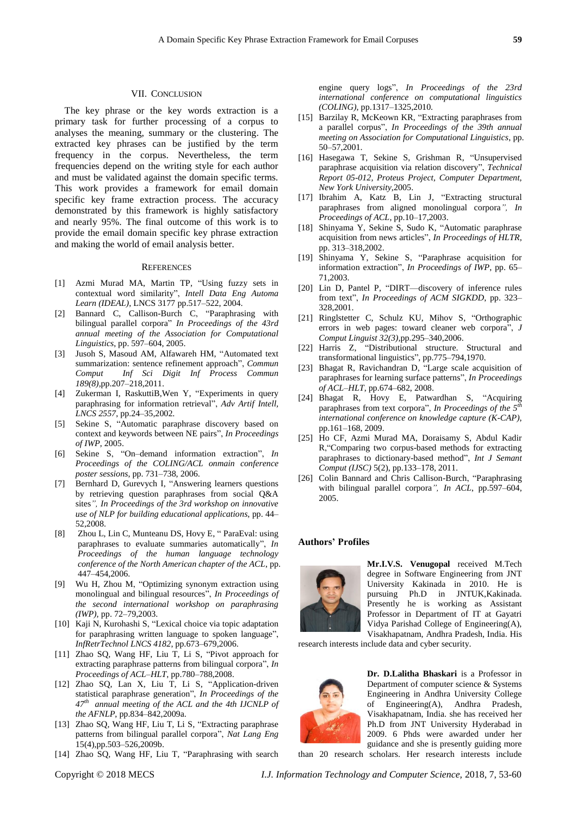### VII. CONCLUSION

The key phrase or the key words extraction is a primary task for further processing of a corpus to analyses the meaning, summary or the clustering. The extracted key phrases can be justified by the term frequency in the corpus. Nevertheless, the term frequencies depend on the writing style for each author and must be validated against the domain specific terms. This work provides a framework for email domain specific key frame extraction process. The accuracy demonstrated by this framework is highly satisfactory and nearly 95%. The final outcome of this work is to provide the email domain specific key phrase extraction and making the world of email analysis better.

#### **REFERENCES**

- [1] Azmi Murad MA, Martin TP, "Using fuzzy sets in contextual word similarity", *Intell Data Eng Automa Learn (IDEAL)*, LNCS 3177 pp.517–522, 2004.
- [2] Bannard C, Callison-Burch C, "Paraphrasing with bilingual parallel corpora" *In Proceedings of the 43rd annual meeting of the Association for Computational Linguistics*, pp. 597–604, 2005.
- [3] Jusoh S, Masoud AM, Alfawareh HM, "Automated text summarization: sentence refinement approach", *Commun Comput Inf Sci Digit Inf Process Commun 189(8),*pp.207–218,2011.
- [4] Zukerman I, RaskuttiB,Wen Y, "Experiments in query paraphrasing for information retrieval", *Adv Artif Intell, LNCS 2557*, pp.24–35,2002.
- [5] Sekine S, "Automatic paraphrase discovery based on context and keywords between NE pairs", *In Proceedings of IWP*, 2005.
- [6] Sekine S, "On–demand information extraction", *In Proceedings of the COLING/ACL onmain conference poster sessions*, pp. 731–738, 2006.
- [7] Bernhard D, Gurevych I, "Answering learners questions by retrieving question paraphrases from social Q&A sites*", In Proceedings of the 3rd workshop on innovative use of NLP for building educational applications*, pp. 44– 52,2008.
- [8] Zhou L, Lin C, Munteanu DS, Hovy E, " ParaEval: using paraphrases to evaluate summaries automatically", *In Proceedings of the human language technology conference of the North American chapter of the ACL*, pp. 447–454,2006.
- [9] Wu H, Zhou M, "Optimizing synonym extraction using monolingual and bilingual resources", *In Proceedings of the second international workshop on paraphrasing (IWP),* pp. 72–79,2003.
- [10] Kaji N, Kurohashi S, "Lexical choice via topic adaptation for paraphrasing written language to spoken language", *InfRetrTechnol LNCS 4182*, pp.673–679,2006.
- [11] Zhao SQ, Wang HF, Liu T, Li S, "Pivot approach for extracting paraphrase patterns from bilingual corpora", *In Proceedings of ACL–HLT*, pp.780–788,2008.
- [12] Zhao SQ, Lan X, Liu T, Li S, "Application-driven statistical paraphrase generation", *In Proceedings of the 47th annual meeting of the ACL and the 4th IJCNLP of the AFNLP*, pp.834–842,2009a.
- [13] Zhao SQ, Wang HF, Liu T, Li S, "Extracting paraphrase patterns from bilingual parallel corpora", *Nat Lang Eng* 15(4),pp.503–526,2009b.
- [14] Zhao SQ, Wang HF, Liu T, "Paraphrasing with search

engine query logs", *In Proceedings of the 23rd international conference on computational linguistics (COLING)*, pp.1317–1325,2010.

- [15] Barzilay R, McKeown KR, "Extracting paraphrases from a parallel corpus", *In Proceedings of the 39th annual meeting on Association for Computational Linguistics*, pp. 50–57,2001.
- [16] Hasegawa T, Sekine S, Grishman R, "Unsupervised paraphrase acquisition via relation discovery", *Technical Report 05-012, Proteus Project, Computer Department, New York University*,2005.
- [17] Ibrahim A, Katz B, Lin J, "Extracting structural paraphrases from aligned monolingual corpora*", In Proceedings of ACL*, pp.10–17,2003.
- [18] Shinyama Y, Sekine S, Sudo K, "Automatic paraphrase acquisition from news articles", *In Proceedings of HLTR*, pp. 313–318,2002.
- [19] Shinyama Y, Sekine S, "Paraphrase acquisition for information extraction", *In Proceedings of IWP*, pp. 65– 71,2003.
- [20] Lin D, Pantel P, "DIRT—discovery of inference rules from text", *In Proceedings of ACM SIGKDD*, pp. 323– 328,2001.
- [21] Ringlstetter C, Schulz KU, Mihov S, "Orthographic errors in web pages: toward cleaner web corpora", *J Comput Linguist 32(3),*pp.295–340,2006.
- [22] Harris Z, "Distributional structure. Structural and transformational linguistics", pp.775–794,1970.
- [23] Bhagat R, Ravichandran D, "Large scale acquisition of paraphrases for learning surface patterns", *In Proceedings of ACL–HLT*, pp.674–682, 2008.
- [24] Bhagat R, Hovy E, Patwardhan S, "Acquiring paraphrases from text corpora", *In Proceedings of the*  $5<sup>th</sup>$ *international conference on knowledge capture (K-CAP)*, pp.161–168, 2009.
- [25] Ho CF, Azmi Murad MA, Doraisamy S, Abdul Kadir R,"Comparing two corpus-based methods for extracting paraphrases to dictionary-based method", *Int J Semant Comput (IJSC)* 5(2), pp.133–178, 2011.
- [26] Colin Bannard and Chris Callison-Burch, "Paraphrasing with bilingual parallel corpora*", In ACL*, pp.597–604, 2005.

#### **Authors' Profiles**



**Mr.I.V.S. Venugopal** received M.Tech degree in Software Engineering from JNT University Kakinada in 2010. He is pursuing Ph.D in JNTUK,Kakinada. Presently he is working as Assistant Professor in Department of IT at Gayatri Vidya Parishad College of Engineering(A), Visakhapatnam, Andhra Pradesh, India. His

research interests include data and cyber security.



**Dr. D.Lalitha Bhaskari** is a Professor in Department of computer science & Systems Engineering in Andhra University College of Engineering(A), Andhra Pradesh, Visakhapatnam, India. she has received her Ph.D from JNT University Hyderabad in 2009. 6 Phds were awarded under her guidance and she is presently guiding more than 20 research scholars. Her research interests include